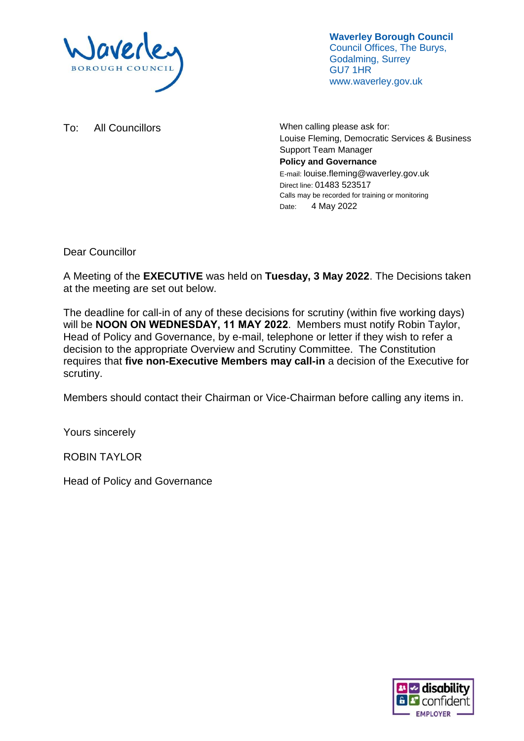

**Waverley Borough Council** Council Offices, The Burys, Godalming, Surrey GU7 1HR www.waverley.gov.uk

To: All Councillors Manual Councillors Motors When calling please ask for: Louise Fleming, Democratic Services & Business Support Team Manager **Policy and Governance** E-mail: louise.fleming@waverley.gov.uk Direct line: 01483 523517 Calls may be recorded for training or monitoring Date: 4 May 2022

Dear Councillor

A Meeting of the **EXECUTIVE** was held on **Tuesday, 3 May 2022**. The Decisions taken at the meeting are set out below.

The deadline for call-in of any of these decisions for scrutiny (within five working days) will be **NOON ON WEDNESDAY, 11 MAY 2022**. Members must notify Robin Taylor, Head of Policy and Governance, by e-mail, telephone or letter if they wish to refer a decision to the appropriate Overview and Scrutiny Committee. The Constitution requires that **five non-Executive Members may call-in** a decision of the Executive for scrutiny.

Members should contact their Chairman or Vice-Chairman before calling any items in.

Yours sincerely

ROBIN TAYLOR

Head of Policy and Governance